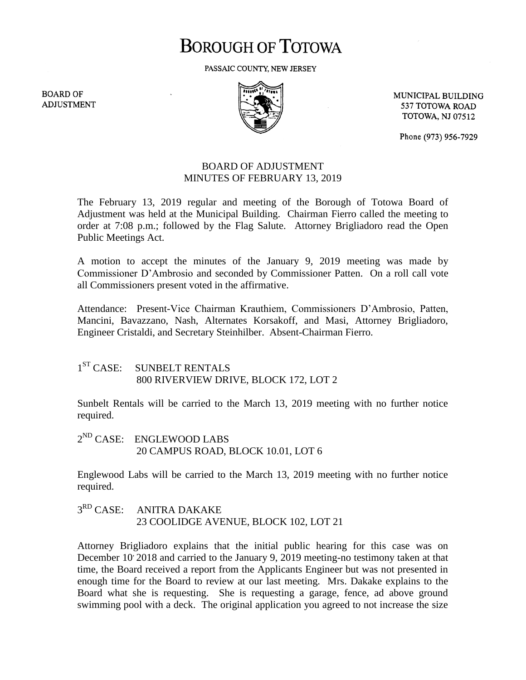# **BOROUGH OF TOTOWA**

PASSAIC COUNTY, NEW JERSEY

**BOARD OF ADJUSTMENT** 



MUNICIPAL BUILDING 537 TOTOWA ROAD **TOTOWA, NJ 07512** 

Phone (973) 956-7929

## BOARD OF ADJUSTMENT MINUTES OF FEBRUARY 13, 2019

The February 13, 2019 regular and meeting of the Borough of Totowa Board of Adjustment was held at the Municipal Building. Chairman Fierro called the meeting to order at 7:08 p.m.; followed by the Flag Salute. Attorney Brigliadoro read the Open Public Meetings Act.

A motion to accept the minutes of the January 9, 2019 meeting was made by Commissioner D'Ambrosio and seconded by Commissioner Patten. On a roll call vote all Commissioners present voted in the affirmative.

Attendance: Present-Vice Chairman Krauthiem, Commissioners D'Ambrosio, Patten, Mancini, Bavazzano, Nash, Alternates Korsakoff, and Masi, Attorney Brigliadoro, Engineer Cristaldi, and Secretary Steinhilber. Absent-Chairman Fierro.

#### $1<sup>ST</sup> CASE:$ SUNBELT RENTALS 800 RIVERVIEW DRIVE, BLOCK 172, LOT 2

Sunbelt Rentals will be carried to the March 13, 2019 meeting with no further notice required.

2<sup>ND</sup> CASE: ENGLEWOOD LABS 20 CAMPUS ROAD, BLOCK 10.01, LOT 6

Englewood Labs will be carried to the March 13, 2019 meeting with no further notice required.

#### $3<sup>RD</sup> CASE:$ ANITRA DAKAKE 23 COOLIDGE AVENUE, BLOCK 102, LOT 21

Attorney Brigliadoro explains that the initial public hearing for this case was on December 10<sup>,</sup> 2018 and carried to the January 9, 2019 meeting-no testimony taken at that time, the Board received a report from the Applicants Engineer but was not presented in enough time for the Board to review at our last meeting. Mrs. Dakake explains to the Board what she is requesting. She is requesting a garage, fence, ad above ground swimming pool with a deck. The original application you agreed to not increase the size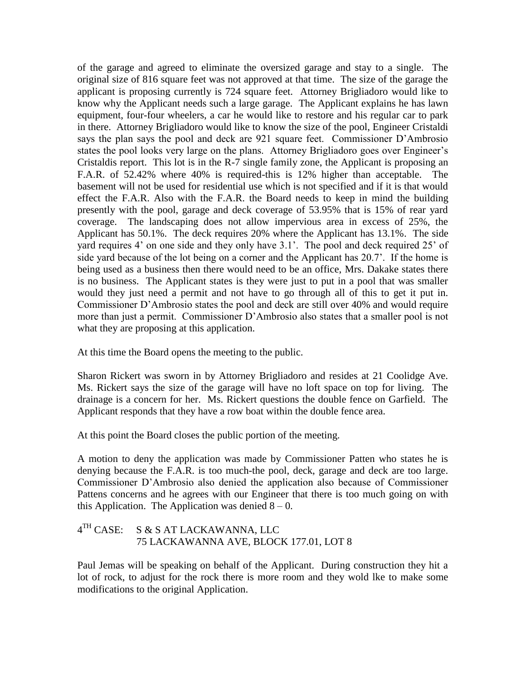of the garage and agreed to eliminate the oversized garage and stay to a single. The original size of 816 square feet was not approved at that time. The size of the garage the applicant is proposing currently is 724 square feet. Attorney Brigliadoro would like to know why the Applicant needs such a large garage. The Applicant explains he has lawn equipment, four-four wheelers, a car he would like to restore and his regular car to park in there. Attorney Brigliadoro would like to know the size of the pool, Engineer Cristaldi says the plan says the pool and deck are 921 square feet. Commissioner D'Ambrosio states the pool looks very large on the plans. Attorney Brigliadoro goes over Engineer's Cristaldis report. This lot is in the R-7 single family zone, the Applicant is proposing an F.A.R. of 52.42% where 40% is required-this is 12% higher than acceptable. The basement will not be used for residential use which is not specified and if it is that would effect the F.A.R. Also with the F.A.R. the Board needs to keep in mind the building presently with the pool, garage and deck coverage of 53.95% that is 15% of rear yard coverage. The landscaping does not allow impervious area in excess of 25%, the Applicant has 50.1%. The deck requires 20% where the Applicant has 13.1%. The side yard requires 4' on one side and they only have 3.1'. The pool and deck required 25' of side yard because of the lot being on a corner and the Applicant has 20.7'. If the home is being used as a business then there would need to be an office, Mrs. Dakake states there is no business. The Applicant states is they were just to put in a pool that was smaller would they just need a permit and not have to go through all of this to get it put in. Commissioner D'Ambrosio states the pool and deck are still over 40% and would require more than just a permit. Commissioner D'Ambrosio also states that a smaller pool is not what they are proposing at this application.

At this time the Board opens the meeting to the public.

Sharon Rickert was sworn in by Attorney Brigliadoro and resides at 21 Coolidge Ave. Ms. Rickert says the size of the garage will have no loft space on top for living. The drainage is a concern for her. Ms. Rickert questions the double fence on Garfield. The Applicant responds that they have a row boat within the double fence area.

At this point the Board closes the public portion of the meeting.

A motion to deny the application was made by Commissioner Patten who states he is denying because the F.A.R. is too much-the pool, deck, garage and deck are too large. Commissioner D'Ambrosio also denied the application also because of Commissioner Pattens concerns and he agrees with our Engineer that there is too much going on with this Application. The Application was denied  $8 - 0$ .

#### $4<sup>TH</sup> CASE:$ S & S AT LACKAWANNA, LLC 75 LACKAWANNA AVE, BLOCK 177.01, LOT 8

Paul Jemas will be speaking on behalf of the Applicant. During construction they hit a lot of rock, to adjust for the rock there is more room and they wold lke to make some modifications to the original Application.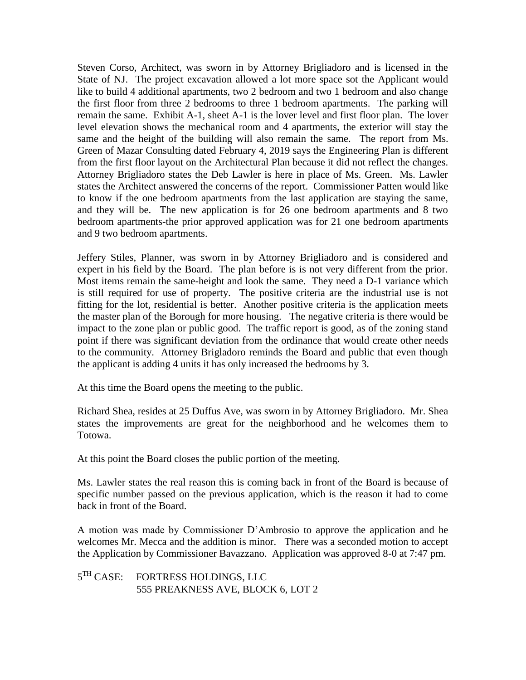Steven Corso, Architect, was sworn in by Attorney Brigliadoro and is licensed in the State of NJ. The project excavation allowed a lot more space sot the Applicant would like to build 4 additional apartments, two 2 bedroom and two 1 bedroom and also change the first floor from three 2 bedrooms to three 1 bedroom apartments. The parking will remain the same. Exhibit A-1, sheet A-1 is the lover level and first floor plan. The lover level elevation shows the mechanical room and 4 apartments, the exterior will stay the same and the height of the building will also remain the same. The report from Ms. Green of Mazar Consulting dated February 4, 2019 says the Engineering Plan is different from the first floor layout on the Architectural Plan because it did not reflect the changes. Attorney Brigliadoro states the Deb Lawler is here in place of Ms. Green. Ms. Lawler states the Architect answered the concerns of the report. Commissioner Patten would like to know if the one bedroom apartments from the last application are staying the same, and they will be. The new application is for 26 one bedroom apartments and 8 two bedroom apartments-the prior approved application was for 21 one bedroom apartments and 9 two bedroom apartments.

Jeffery Stiles, Planner, was sworn in by Attorney Brigliadoro and is considered and expert in his field by the Board. The plan before is is not very different from the prior. Most items remain the same-height and look the same. They need a D-1 variance which is still required for use of property. The positive criteria are the industrial use is not fitting for the lot, residential is better. Another positive criteria is the application meets the master plan of the Borough for more housing. The negative criteria is there would be impact to the zone plan or public good. The traffic report is good, as of the zoning stand point if there was significant deviation from the ordinance that would create other needs to the community. Attorney Brigladoro reminds the Board and public that even though the applicant is adding 4 units it has only increased the bedrooms by 3.

At this time the Board opens the meeting to the public.

Richard Shea, resides at 25 Duffus Ave, was sworn in by Attorney Brigliadoro. Mr. Shea states the improvements are great for the neighborhood and he welcomes them to Totowa.

At this point the Board closes the public portion of the meeting.

Ms. Lawler states the real reason this is coming back in front of the Board is because of specific number passed on the previous application, which is the reason it had to come back in front of the Board.

A motion was made by Commissioner D'Ambrosio to approve the application and he welcomes Mr. Mecca and the addition is minor. There was a seconded motion to accept the Application by Commissioner Bavazzano. Application was approved 8-0 at 7:47 pm.

 $5^{TH}$  CASE: FORTRESS HOLDINGS, LLC 555 PREAKNESS AVE, BLOCK 6, LOT 2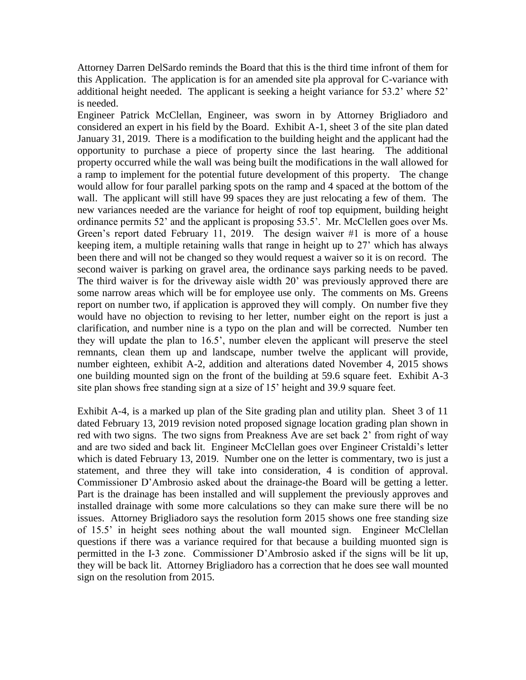Attorney Darren DelSardo reminds the Board that this is the third time infront of them for this Application. The application is for an amended site pla approval for C-variance with additional height needed. The applicant is seeking a height variance for 53.2' where 52' is needed.

Engineer Patrick McClellan, Engineer, was sworn in by Attorney Brigliadoro and considered an expert in his field by the Board. Exhibit A-1, sheet 3 of the site plan dated January 31, 2019. There is a modification to the building height and the applicant had the opportunity to purchase a piece of property since the last hearing. The additional property occurred while the wall was being built the modifications in the wall allowed for a ramp to implement for the potential future development of this property. The change would allow for four parallel parking spots on the ramp and 4 spaced at the bottom of the wall. The applicant will still have 99 spaces they are just relocating a few of them. The new variances needed are the variance for height of roof top equipment, building height ordinance permits 52' and the applicant is proposing 53.5'. Mr. McClellen goes over Ms. Green's report dated February 11, 2019. The design waiver #1 is more of a house keeping item, a multiple retaining walls that range in height up to 27' which has always been there and will not be changed so they would request a waiver so it is on record. The second waiver is parking on gravel area, the ordinance says parking needs to be paved. The third waiver is for the driveway aisle width 20' was previously approved there are some narrow areas which will be for employee use only. The comments on Ms. Greens report on number two, if application is approved they will comply. On number five they would have no objection to revising to her letter, number eight on the report is just a clarification, and number nine is a typo on the plan and will be corrected. Number ten they will update the plan to 16.5', number eleven the applicant will preserve the steel remnants, clean them up and landscape, number twelve the applicant will provide, number eighteen, exhibit A-2, addition and alterations dated November 4, 2015 shows one building mounted sign on the front of the building at 59.6 square feet. Exhibit A-3 site plan shows free standing sign at a size of 15' height and 39.9 square feet.

Exhibit A-4, is a marked up plan of the Site grading plan and utility plan. Sheet 3 of 11 dated February 13, 2019 revision noted proposed signage location grading plan shown in red with two signs. The two signs from Preakness Ave are set back 2' from right of way and are two sided and back lit. Engineer McClellan goes over Engineer Cristaldi's letter which is dated February 13, 2019. Number one on the letter is commentary, two is just a statement, and three they will take into consideration, 4 is condition of approval. Commissioner D'Ambrosio asked about the drainage-the Board will be getting a letter. Part is the drainage has been installed and will supplement the previously approves and installed drainage with some more calculations so they can make sure there will be no issues. Attorney Brigliadoro says the resolution form 2015 shows one free standing size of 15.5' in height sees nothing about the wall mounted sign. Engineer McClellan questions if there was a variance required for that because a building muonted sign is permitted in the I-3 zone. Commissioner D'Ambrosio asked if the signs will be lit up, they will be back lit. Attorney Brigliadoro has a correction that he does see wall mounted sign on the resolution from 2015.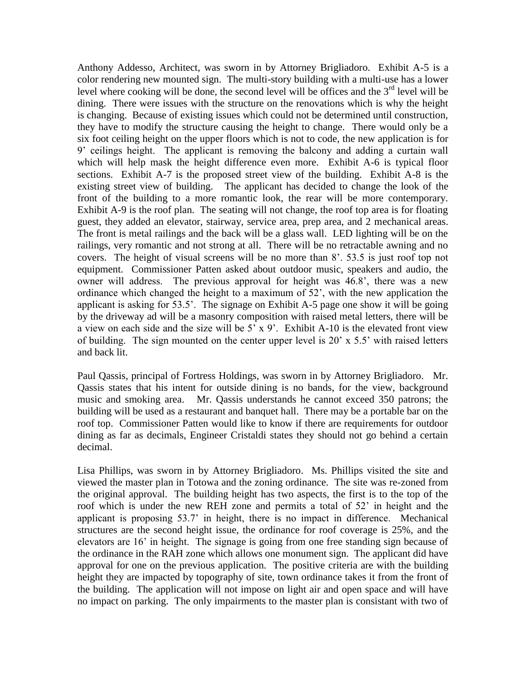Anthony Addesso, Architect, was sworn in by Attorney Brigliadoro. Exhibit A-5 is a color rendering new mounted sign. The multi-story building with a multi-use has a lower level where cooking will be done, the second level will be offices and the  $3<sup>rd</sup>$  level will be dining. There were issues with the structure on the renovations which is why the height is changing. Because of existing issues which could not be determined until construction, they have to modify the structure causing the height to change. There would only be a six foot ceiling height on the upper floors which is not to code, the new application is for 9' ceilings height. The applicant is removing the balcony and adding a curtain wall which will help mask the height difference even more. Exhibit A-6 is typical floor sections. Exhibit A-7 is the proposed street view of the building. Exhibit A-8 is the existing street view of building. The applicant has decided to change the look of the front of the building to a more romantic look, the rear will be more contemporary. Exhibit A-9 is the roof plan. The seating will not change, the roof top area is for floating guest, they added an elevator, stairway, service area, prep area, and 2 mechanical areas. The front is metal railings and the back will be a glass wall. LED lighting will be on the railings, very romantic and not strong at all. There will be no retractable awning and no covers. The height of visual screens will be no more than 8'. 53.5 is just roof top not equipment. Commissioner Patten asked about outdoor music, speakers and audio, the owner will address. The previous approval for height was 46.8', there was a new ordinance which changed the height to a maximum of 52', with the new application the applicant is asking for 53.5'. The signage on Exhibit A-5 page one show it will be going by the driveway ad will be a masonry composition with raised metal letters, there will be a view on each side and the size will be 5' x 9'. Exhibit A-10 is the elevated front view of building. The sign mounted on the center upper level is 20' x 5.5' with raised letters and back lit.

Paul Qassis, principal of Fortress Holdings, was sworn in by Attorney Brigliadoro. Mr. Qassis states that his intent for outside dining is no bands, for the view, background music and smoking area. Mr. Qassis understands he cannot exceed 350 patrons; the building will be used as a restaurant and banquet hall. There may be a portable bar on the roof top. Commissioner Patten would like to know if there are requirements for outdoor dining as far as decimals, Engineer Cristaldi states they should not go behind a certain decimal.

Lisa Phillips, was sworn in by Attorney Brigliadoro. Ms. Phillips visited the site and viewed the master plan in Totowa and the zoning ordinance. The site was re-zoned from the original approval. The building height has two aspects, the first is to the top of the roof which is under the new REH zone and permits a total of 52' in height and the applicant is proposing 53.7' in height, there is no impact in difference. Mechanical structures are the second height issue, the ordinance for roof coverage is 25%, and the elevators are 16' in height. The signage is going from one free standing sign because of the ordinance in the RAH zone which allows one monument sign. The applicant did have approval for one on the previous application. The positive criteria are with the building height they are impacted by topography of site, town ordinance takes it from the front of the building. The application will not impose on light air and open space and will have no impact on parking. The only impairments to the master plan is consistant with two of